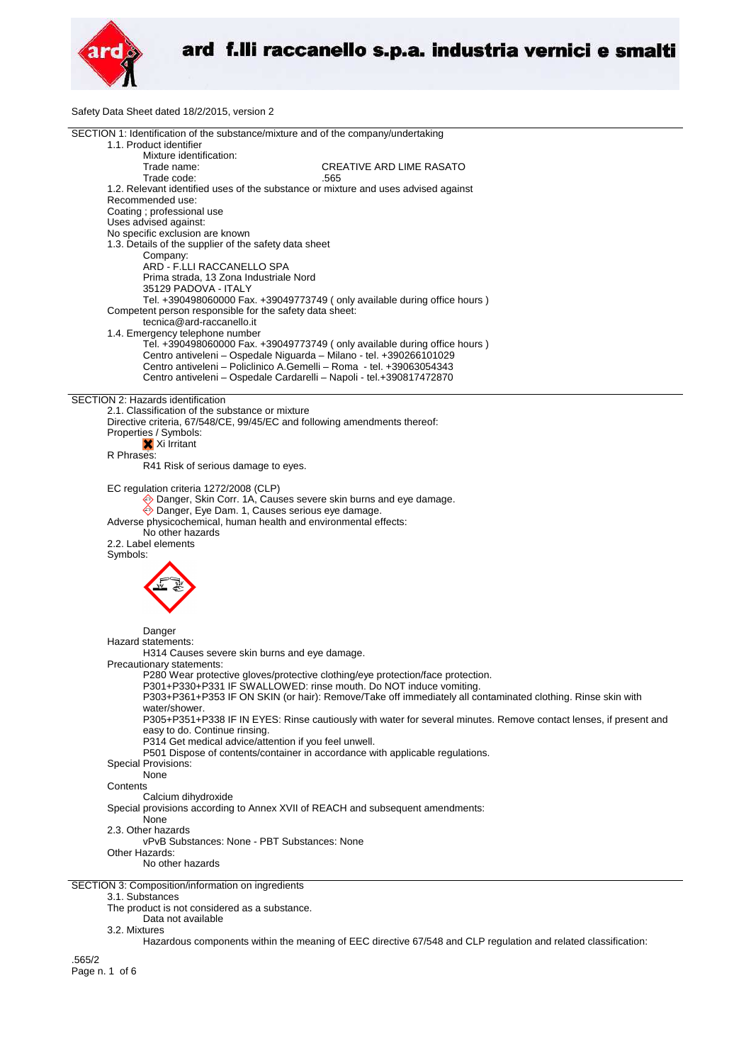

Safety Data Sheet dated 18/2/2015, version 2

| SECTION 1: Identification of the substance/mixture and of the company/undertaking                                 |
|-------------------------------------------------------------------------------------------------------------------|
| 1.1. Product identifier                                                                                           |
| Mixture identification:                                                                                           |
| Trade name:<br><b>CREATIVE ARD LIME RASATO</b>                                                                    |
|                                                                                                                   |
| Trade code:<br>.565                                                                                               |
| 1.2. Relevant identified uses of the substance or mixture and uses advised against                                |
| Recommended use:                                                                                                  |
| Coating ; professional use                                                                                        |
|                                                                                                                   |
| Uses advised against:                                                                                             |
| No specific exclusion are known                                                                                   |
| 1.3. Details of the supplier of the safety data sheet                                                             |
| Company:                                                                                                          |
| ARD - F.LLI RACCANELLO SPA                                                                                        |
| Prima strada, 13 Zona Industriale Nord                                                                            |
|                                                                                                                   |
| 35129 PADOVA - ITALY                                                                                              |
| Tel. +390498060000 Fax. +39049773749 (only available during office hours)                                         |
| Competent person responsible for the safety data sheet:                                                           |
| tecnica@ard-raccanello.it                                                                                         |
| 1.4. Emergency telephone number                                                                                   |
|                                                                                                                   |
| Tel. +390498060000 Fax. +39049773749 (only available during office hours)                                         |
| Centro antiveleni - Ospedale Niguarda - Milano - tel. +390266101029                                               |
| Centro antiveleni – Policlinico A.Gemelli – Roma - tel. +39063054343                                              |
| Centro antiveleni - Ospedale Cardarelli - Napoli - tel.+390817472870                                              |
|                                                                                                                   |
|                                                                                                                   |
| SECTION 2: Hazards identification                                                                                 |
| 2.1. Classification of the substance or mixture                                                                   |
| Directive criteria, 67/548/CE, 99/45/EC and following amendments thereof:                                         |
| Properties / Symbols:                                                                                             |
| X Xi Irritant                                                                                                     |
|                                                                                                                   |
| R Phrases:                                                                                                        |
| R41 Risk of serious damage to eyes.                                                                               |
|                                                                                                                   |
| EC regulation criteria 1272/2008 (CLP)                                                                            |
|                                                                                                                   |
| ◆ Danger, Skin Corr. 1A, Causes severe skin burns and eye damage.                                                 |
| Danger, Eye Dam. 1, Causes serious eye damage.                                                                    |
| Adverse physicochemical, human health and environmental effects:                                                  |
| No other hazards                                                                                                  |
| 2.2. Label elements                                                                                               |
|                                                                                                                   |
| Symbols:                                                                                                          |
|                                                                                                                   |
|                                                                                                                   |
|                                                                                                                   |
|                                                                                                                   |
|                                                                                                                   |
|                                                                                                                   |
|                                                                                                                   |
| Danger                                                                                                            |
| Hazard statements:                                                                                                |
| H314 Causes severe skin burns and eye damage.                                                                     |
|                                                                                                                   |
| Precautionary statements:                                                                                         |
| P280 Wear protective gloves/protective clothing/eye protection/face protection.                                   |
| P301+P330+P331 IF SWALLOWED: rinse mouth. Do NOT induce vomiting.                                                 |
| P303+P361+P353 IF ON SKIN (or hair): Remove/Take off immediately all contaminated clothing. Rinse skin with       |
| water/shower.                                                                                                     |
|                                                                                                                   |
| P305+P351+P338 IF IN EYES: Rinse cautiously with water for several minutes. Remove contact lenses, if present and |
| easy to do. Continue rinsing.                                                                                     |
| P314 Get medical advice/attention if you feel unwell.                                                             |
| P501 Dispose of contents/container in accordance with applicable regulations.                                     |
| <b>Special Provisions:</b>                                                                                        |
| None                                                                                                              |
|                                                                                                                   |
| Contents                                                                                                          |
| Calcium dihydroxide                                                                                               |
| Special provisions according to Annex XVII of REACH and subsequent amendments:                                    |
| None                                                                                                              |
| 2.3. Other hazards                                                                                                |
| vPvB Substances: None - PBT Substances: None                                                                      |
|                                                                                                                   |
| Other Hazards:                                                                                                    |
| No other hazards                                                                                                  |
|                                                                                                                   |
| SECTION 3: Composition/information on ingredients                                                                 |
| 3.1. Substances                                                                                                   |
|                                                                                                                   |
| The product is not considered as a substance.                                                                     |
| Data not available                                                                                                |

3.2. Mixtures

Hazardous components within the meaning of EEC directive 67/548 and CLP regulation and related classification:

.565/2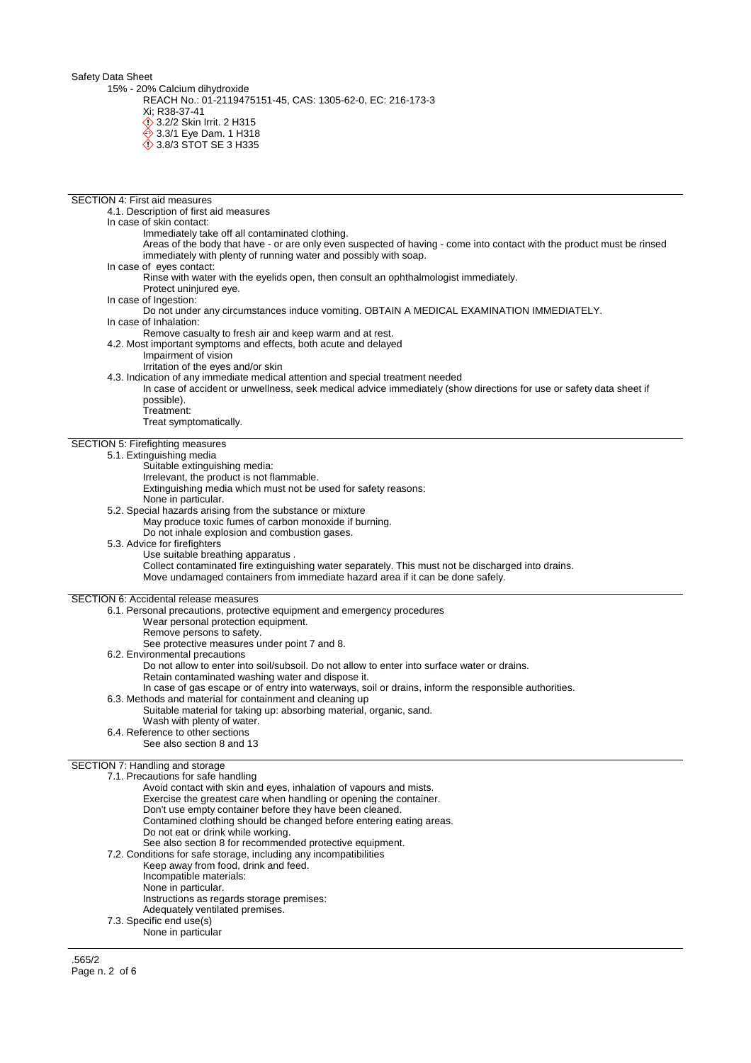Safety Data Sheet

15% - 20% Calcium dihydroxide

REACH No.: 01-2119475151-45, CAS: 1305-62-0, EC: 216-173-3

Xi; R38-37-41 **12.2/2 Skin Irrit. 2 H315** 

**♦ 3.3/1 Eye Dam. 1 H318** 

**3.8/3 STOT SE 3 H335** 

- SECTION 4: First aid measures 4.1. Description of first aid measures
	- In case of skin contact:
		- - Immediately take off all contaminated clothing.
			- Areas of the body that have or are only even suspected of having come into contact with the product must be rinsed immediately with plenty of running water and possibly with soap.
	- In case of eyes contact:
		- Rinse with water with the eyelids open, then consult an ophthalmologist immediately.
		- Protect uninjured eye.
	- In case of Ingestion:
	- Do not under any circumstances induce vomiting. OBTAIN A MEDICAL EXAMINATION IMMEDIATELY.
	- In case of Inhalation:
	- Remove casualty to fresh air and keep warm and at rest. 4.2. Most important symptoms and effects, both acute and delayed
		-
		- Impairment of vision
		- Irritation of the eyes and/or skin
	- 4.3. Indication of any immediate medical attention and special treatment needed
	- In case of accident or unwellness, seek medical advice immediately (show directions for use or safety data sheet if possible).
		- Treatment:

Treat symptomatically.

## SECTION 5: Firefighting measures

## 5.1. Extinguishing media

- Suitable extinguishing media:
- Irrelevant, the product is not flammable.
- Extinguishing media which must not be used for safety reasons:
- None in particular.
- 5.2. Special hazards arising from the substance or mixture
	- May produce toxic fumes of carbon monoxide if burning.
	- Do not inhale explosion and combustion gases.
- 5.3. Advice for firefighters
	- Use suitable breathing apparatus .

Collect contaminated fire extinguishing water separately. This must not be discharged into drains. Move undamaged containers from immediate hazard area if it can be done safely.

## SECTION 6: Accidental release measures

- 6.1. Personal precautions, protective equipment and emergency procedures
	- Wear personal protection equipment.
	- Remove persons to safety.
	- See protective measures under point 7 and 8.
- 6.2. Environmental precautions
	- Do not allow to enter into soil/subsoil. Do not allow to enter into surface water or drains.
	- Retain contaminated washing water and dispose it.
- In case of gas escape or of entry into waterways, soil or drains, inform the responsible authorities.
- 6.3. Methods and material for containment and cleaning up
	- Suitable material for taking up: absorbing material, organic, sand.
	- Wash with plenty of water.
- 6.4. Reference to other sections
	- See also section 8 and 13

## **SECTION**

| N 7: Handling and storage                                           |
|---------------------------------------------------------------------|
| 7.1. Precautions for safe handling                                  |
| Avoid contact with skin and eyes, inhalation of vapours and mists.  |
| Exercise the greatest care when handling or opening the container.  |
| Don't use empty container before they have been cleaned.            |
| Contamined clothing should be changed before entering eating areas. |
| Do not eat or drink while working.                                  |
| See also section 8 for recommended protective equipment.            |
| 7.2. Conditions for safe storage, including any incompatibilities   |
| Keep away from food, drink and feed.                                |
| Incompatible materials:                                             |
| None in particular.                                                 |
| Instructions as regards storage premises:                           |
| Adequately ventilated premises.                                     |
| 7.3. Specific end use(s)                                            |
| None in particular                                                  |
|                                                                     |
|                                                                     |

.565/2 Page n. 2 of 6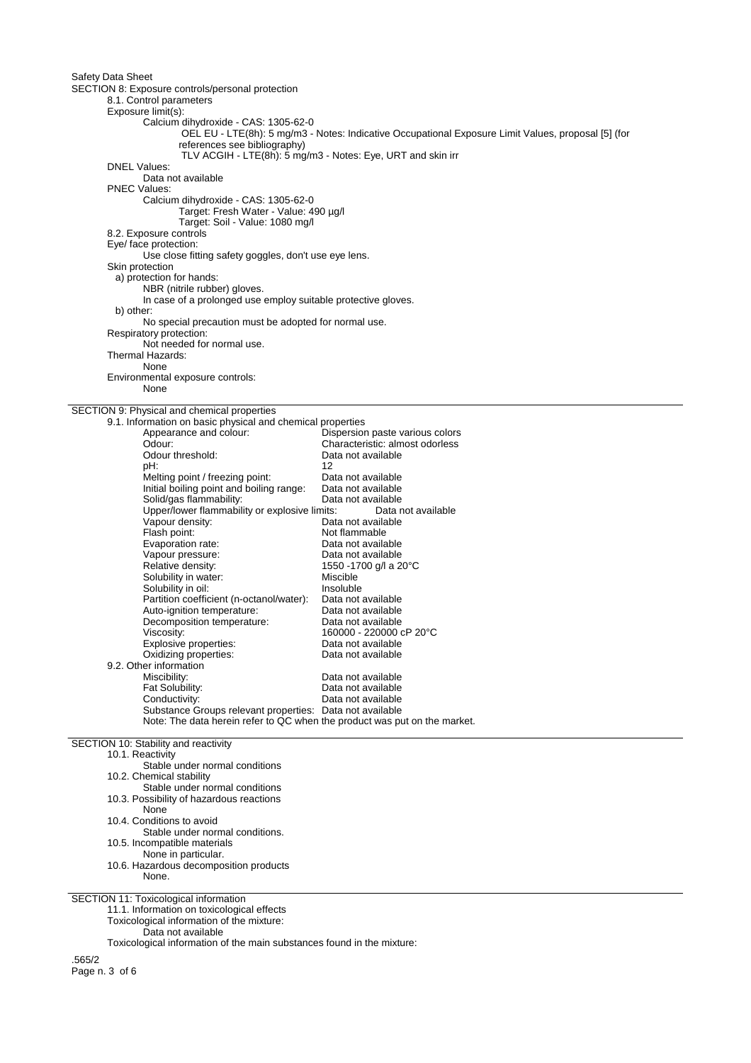Safety Data Sheet SECTION 8: Exposure controls/personal protection 8.1. Control parameters Exposure limit(s): Calcium dihydroxide - CAS: 1305-62-0 OEL EU - LTE(8h): 5 mg/m3 - Notes: Indicative Occupational Exposure Limit Values, proposal [5] (for references see bibliography) TLV ACGIH - LTE(8h): 5 mg/m3 - Notes: Eye, URT and skin irr DNEL Values: Data not available PNEC Values: Calcium dihydroxide - CAS: 1305-62-0 Target: Fresh Water - Value: 490 µg/l Target: Soil - Value: 1080 mg/l 8.2. Exposure controls Eye/ face protection: Use close fitting safety goggles, don't use eye lens. Skin protection a) protection for hands: NBR (nitrile rubber) gloves. In case of a prolonged use employ suitable protective gloves. b) other: No special precaution must be adopted for normal use. Respiratory protection: Not needed for normal use. Thermal Hazards: None Environmental exposure controls: None SECTION 9: Physical and chemical properties 9.1. Information on basic physical and chemical properties Dispersion paste various colors Odour: Characteristic: almost odorless Odour threshold: Data not available pH: 12 Melting point / freezing point: Data not available<br>Initial boiling point and boiling range: Data not available Initial boiling point and boiling range: Solid/gas flammability: Data not available<br>Upper/lower flammability or explosive limits: Data not available Upper/lower flammability or explosive limits: Data not available Vapour density: Flash point:<br>
Evaporation rate:<br>
Data not available<br>
Data not available Evaporation rate: Vapour pressure: Data not available Relative density:  $1550 - 1700$  g/l a 20°C<br>Solubility in water:  $\frac{1550 - 1700}{200}$ Solubility in water:<br>
Solubility in oil:<br>
Solubility in oil: Solubility in oil: Insoluble<br>
Partition coefficient (n-octanol/water): Data not available Partition coefficient (n-octanol/water): Auto-ignition temperature: Data not available Decomposition temperature: Data not available Viscosity: 160000 - 220000 cP 20°C<br>Explosive properties: 160000 - 220000 cP 20°C Explosive properties:<br>
Oxidizing properties:<br>
Oxidizing properties:<br>
Data not available Oxidizing properties: 9.2. Other information<br>Miscibility: Miscibility: Data not available<br>
Fat Solubility: Charles Bottom Data not available Fat Solubility:<br>
Conductivity:<br>
Data not available<br>
Data not available Data not available Substance Groups relevant properties: Data not available Note: The data herein refer to QC when the product was put on the market. SECTION 10: Stability and reactivity

10.1. Reactivity

Stable under normal conditions 10.2. Chemical stability Stable under normal conditions 10.3. Possibility of hazardous reactions None 10.4. Conditions to avoid Stable under normal conditions. 10.5. Incompatible materials None in particular. 10.6. Hazardous decomposition products None. SECTION 11: Toxicological information 11.1. Information on toxicological effects

Toxicological information of the mixture:

Data not available

Toxicological information of the main substances found in the mixture:

.565/2 Page n. 3 of 6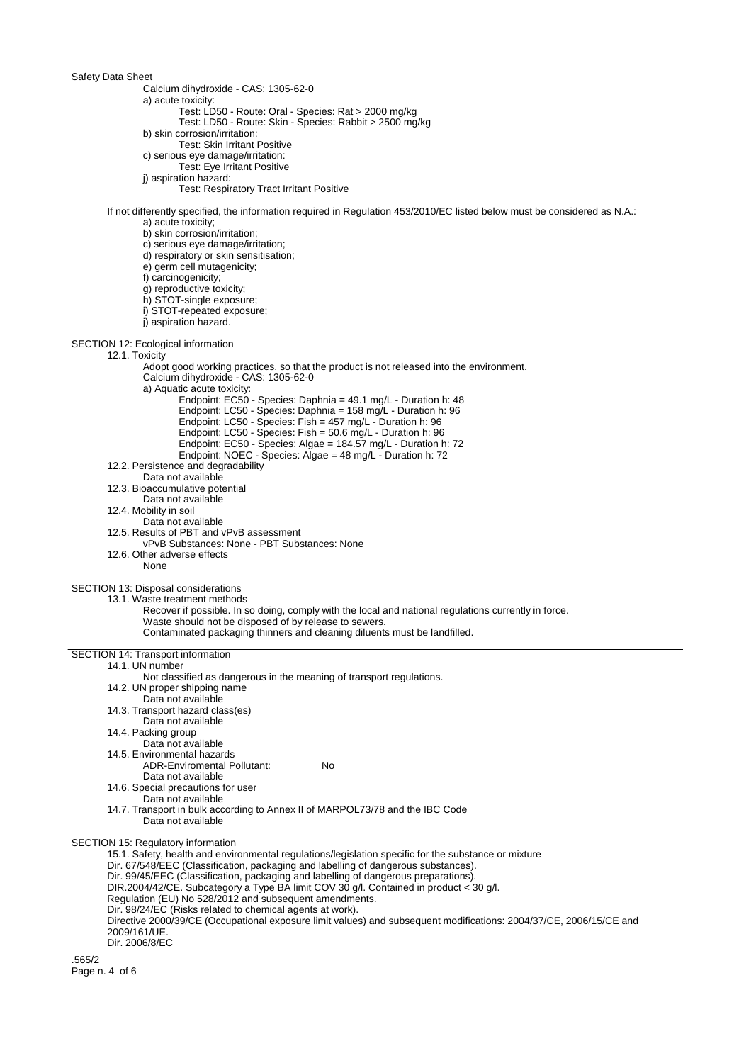Safety Data Sheet Calcium dihydroxide - CAS: 1305-62-0 a) acute toxicity: Test: LD50 - Route: Oral - Species: Rat > 2000 mg/kg Test: LD50 - Route: Skin - Species: Rabbit > 2500 mg/kg b) skin corrosion/irritation: Test: Skin Irritant Positive c) serious eye damage/irritation: Test: Eye Irritant Positive j) aspiration hazard: Test: Respiratory Tract Irritant Positive If not differently specified, the information required in Regulation 453/2010/EC listed below must be considered as N.A.: a) acute toxicity; b) skin corrosion/irritation; c) serious eye damage/irritation; d) respiratory or skin sensitisation; e) germ cell mutagenicity; f) carcinogenicity; g) reproductive toxicity; h) STOT-single exposure; i) STOT-repeated exposure; j) aspiration hazard. SECTION 12: Ecological information 12.1. Toxicity Adopt good working practices, so that the product is not released into the environment. Calcium dihydroxide - CAS: 1305-62-0 a) Aquatic acute toxicity: Endpoint: EC50 - Species: Daphnia = 49.1 mg/L - Duration h: 48 Endpoint: LC50 - Species: Daphnia = 158 mg/L - Duration h: 96 Endpoint: LC50 - Species: Fish = 457 mg/L - Duration h: 96 Endpoint: LC50 - Species: Fish = 50.6 mg/L - Duration h: 96 Endpoint: EC50 - Species: Algae = 184.57 mg/L - Duration h: 72 Endpoint: NOEC - Species: Algae = 48 mg/L - Duration h: 72 12.2. Persistence and degradability Data not available 12.3. Bioaccumulative potential Data not available 12.4. Mobility in soil Data not available 12.5. Results of PBT and vPvB assessment vPvB Substances: None - PBT Substances: None 12.6. Other adverse effects None SECTION 13: Disposal considerations 13.1. Waste treatment methods Recover if possible. In so doing, comply with the local and national regulations currently in force. Waste should not be disposed of by release to sewers. Contaminated packaging thinners and cleaning diluents must be landfilled. SECTION 14: Transport information 14.1. UN number Not classified as dangerous in the meaning of transport regulations. 14.2. UN proper shipping name Data not available 14.3. Transport hazard class(es) Data not available 14.4. Packing group Data not available 14.5. Environmental hazards ADR-Enviromental Pollutant: No Data not available 14.6. Special precautions for user Data not available 14.7. Transport in bulk according to Annex II of MARPOL73/78 and the IBC Code Data not available SECTION 15: Regulatory information 15.1. Safety, health and environmental regulations/legislation specific for the substance or mixture Dir. 67/548/EEC (Classification, packaging and labelling of dangerous substances). Dir. 99/45/EEC (Classification, packaging and labelling of dangerous preparations). DIR.2004/42/CE. Subcategory a Type BA limit COV 30 g/l. Contained in product < 30 g/l. Regulation (EU) No 528/2012 and subsequent amendments. Dir. 98/24/EC (Risks related to chemical agents at work). Directive 2000/39/CE (Occupational exposure limit values) and subsequent modifications: 2004/37/CE, 2006/15/CE and 2009/161/UE.

Dir. 2006/8/EC

.565/2 Page n. 4 of 6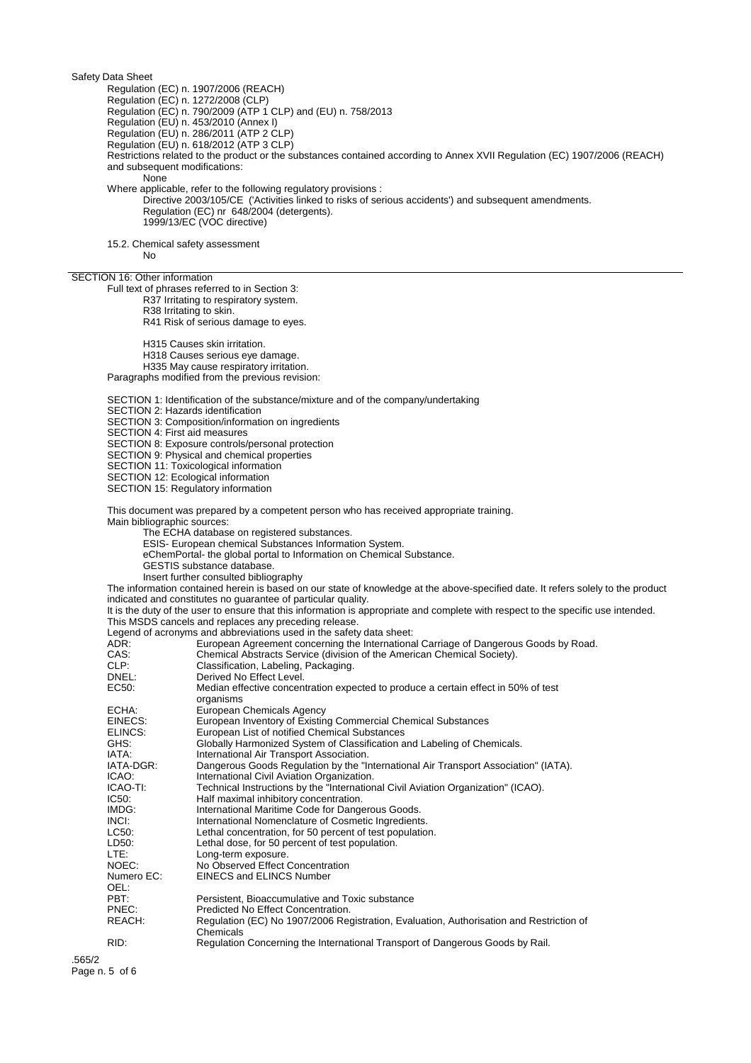Safety Data Sheet Regulation (EC) n. 1907/2006 (REACH) Regulation (EC) n. 1272/2008 (CLP) Regulation (EC) n. 790/2009 (ATP 1 CLP) and (EU) n. 758/2013 Regulation (EU) n. 453/2010 (Annex I) Regulation (EU) n. 286/2011 (ATP 2 CLP) Regulation (EU) n. 618/2012 (ATP 3 CLP) Restrictions related to the product or the substances contained according to Annex XVII Regulation (EC) 1907/2006 (REACH) and subsequent modifications: None Where applicable, refer to the following regulatory provisions : Directive 2003/105/CE ('Activities linked to risks of serious accidents') and subsequent amendments. Regulation (EC) nr 648/2004 (detergents). 1999/13/EC (VOC directive) 15.2. Chemical safety assessment No SECTION 16: Other information Full text of phrases referred to in Section 3: R37 Irritating to respiratory system. R38 Irritating to skin. R41 Risk of serious damage to eyes. H315 Causes skin irritation. H318 Causes serious eye damage. H335 May cause respiratory irritation. Paragraphs modified from the previous revision: SECTION 1: Identification of the substance/mixture and of the company/undertaking SECTION 2: Hazards identification SECTION 3: Composition/information on ingredients SECTION 4: First aid measures SECTION 8: Exposure controls/personal protection SECTION 9: Physical and chemical properties SECTION 11: Toxicological information SECTION 12: Ecological information SECTION 15: Regulatory information This document was prepared by a competent person who has received appropriate training. Main bibliographic sources: The ECHA database on registered substances. ESIS- European chemical Substances Information System. eChemPortal- the global portal to Information on Chemical Substance. GESTIS substance database. Insert further consulted bibliography The information contained herein is based on our state of knowledge at the above-specified date. It refers solely to the product indicated and constitutes no guarantee of particular quality. It is the duty of the user to ensure that this information is appropriate and complete with respect to the specific use intended. This MSDS cancels and replaces any preceding release. Legend of acronyms and abbreviations used in the safety data sheet:<br>ADR: European Agreement concerning the Internationa ADR: European Agreement concerning the International Carriage of Dangerous Goods by Road.<br>CAS: Chemical Abstracts Service (division of the American Chemical Society). CAS: Chemical Abstracts Service (division of the American Chemical Society).<br>CLP: Classification, Labeling, Packaging. CLP: Classification, Labeling, Packaging.<br>
DREL: Derived No Effect Level. DNEL:<br>
EC50: Derived No Effect Level.<br>
Median effective concer Median effective concentration expected to produce a certain effect in 50% of test organisms ECHA: European Chemicals Agency EINECS: European Inventory of Existing Commercial Chemical Substances ELINCS: European List of notified Chemical Substances<br>GHS: Globally Harmonized System of Classification a GHS: Globally Harmonized System of Classification and Labeling of Chemicals.<br>
IATA: laternational Air Transport Association. IATA: International Air Transport Association.<br>IATA-DGR: Dangerous Goods Regulation by the "Ir IATA-DGR: Dangerous Goods Regulation by the "International Air Transport Association" (IATA).<br>ICAO: laternational Civil Aviation Organization. ICAO: International Civil Aviation Organization. ICAO-TI: Technical Instructions by the "International Civil Aviation Organization" (ICAO).<br>IC50: Half maximal inhibitory concentration.

IC50: Half maximal inhibitory concentration.

IMDG: International Maritime Code for Dangerous Goods.<br>INCI: International Nomenclature of Cosmetic Ingredient

INCI: International Nomenclature of Cosmetic Ingredients.<br>
LC50: Lethal concentration, for 50 percent of test population Lethal concentration, for 50 percent of test population.

LD50: Lethal dose, for 50 percent of test population.<br>LTF: Long-term exposure

LTE: Long-term exposure.<br>
No Observed Effect

NOEC: No Observed Effect Concentration<br>Numero EC: EINECS and ELINCS Number

EINECS and ELINCS Number

OEL: PBT: Persistent, Bioaccumulative and Toxic substance<br>
PREC: Predicted No Effect Concentration.

PNEC: Predicted No Effect Concentration.<br>REACH: Regulation (EC) No 1907/2006 Reg

Regulation (EC) No 1907/2006 Registration, Evaluation, Authorisation and Restriction of Chemicals

RID: Regulation Concerning the International Transport of Dangerous Goods by Rail.

.565/2 Page n. 5 of 6